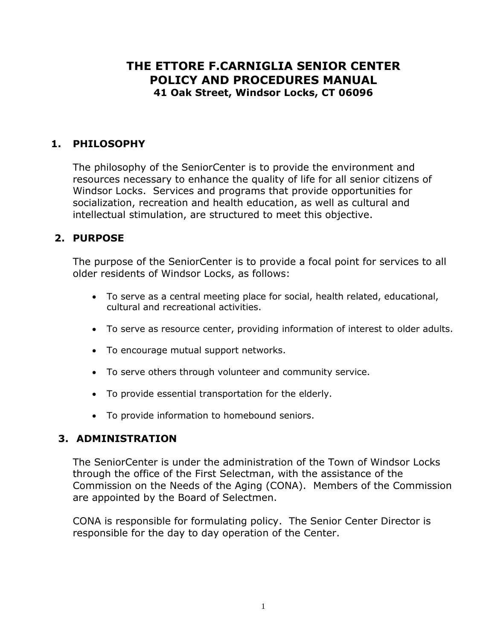# **THE ETTORE F.CARNIGLIA SENIOR CENTER POLICY AND PROCEDURES MANUAL 41 Oak Street, Windsor Locks, CT 06096**

## **1. PHILOSOPHY**

The philosophy of the SeniorCenter is to provide the environment and resources necessary to enhance the quality of life for all senior citizens of Windsor Locks. Services and programs that provide opportunities for socialization, recreation and health education, as well as cultural and intellectual stimulation, are structured to meet this objective.

### **2. PURPOSE**

The purpose of the SeniorCenter is to provide a focal point for services to all older residents of Windsor Locks, as follows:

- To serve as a central meeting place for social, health related, educational, cultural and recreational activities.
- To serve as resource center, providing information of interest to older adults.
- To encourage mutual support networks.
- To serve others through volunteer and community service.
- To provide essential transportation for the elderly.
- To provide information to homebound seniors.

#### **3. ADMINISTRATION**

The SeniorCenter is under the administration of the Town of Windsor Locks through the office of the First Selectman, with the assistance of the Commission on the Needs of the Aging (CONA). Members of the Commission are appointed by the Board of Selectmen.

CONA is responsible for formulating policy. The Senior Center Director is responsible for the day to day operation of the Center.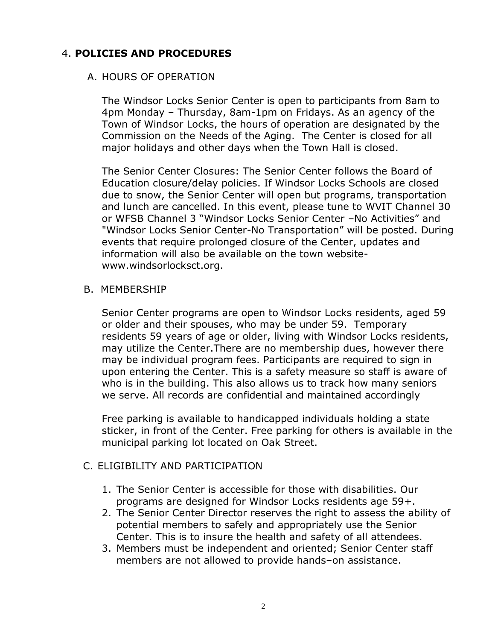## 4. **POLICIES AND PROCEDURES**

### A. HOURS OF OPERATION

The Windsor Locks Senior Center is open to participants from 8am to 4pm Monday – Thursday, 8am-1pm on Fridays. As an agency of the Town of Windsor Locks, the hours of operation are designated by the Commission on the Needs of the Aging. The Center is closed for all major holidays and other days when the Town Hall is closed.

The Senior Center Closures: The Senior Center follows the Board of Education closure/delay policies. If Windsor Locks Schools are closed due to snow, the Senior Center will open but programs, transportation and lunch are cancelled. In this event, please tune to WVIT Channel 30 or WFSB Channel 3 "Windsor Locks Senior Center –No Activities" and "Windsor Locks Senior Center-No Transportation" will be posted. During events that require prolonged closure of the Center, updates and information will also be available on the town websitewww.windsorlocksct.org.

#### B. MEMBERSHIP

Senior Center programs are open to Windsor Locks residents, aged 59 or older and their spouses, who may be under 59. Temporary residents 59 years of age or older, living with Windsor Locks residents, may utilize the Center.There are no membership dues, however there may be individual program fees. Participants are required to sign in upon entering the Center. This is a safety measure so staff is aware of who is in the building. This also allows us to track how many seniors we serve. All records are confidential and maintained accordingly

Free parking is available to handicapped individuals holding a state sticker, in front of the Center. Free parking for others is available in the municipal parking lot located on Oak Street.

#### C. ELIGIBILITY AND PARTICIPATION

- 1. The Senior Center is accessible for those with disabilities. Our programs are designed for Windsor Locks residents age 59+.
- 2. The Senior Center Director reserves the right to assess the ability of potential members to safely and appropriately use the Senior Center. This is to insure the health and safety of all attendees.
- 3. Members must be independent and oriented; Senior Center staff members are not allowed to provide hands–on assistance.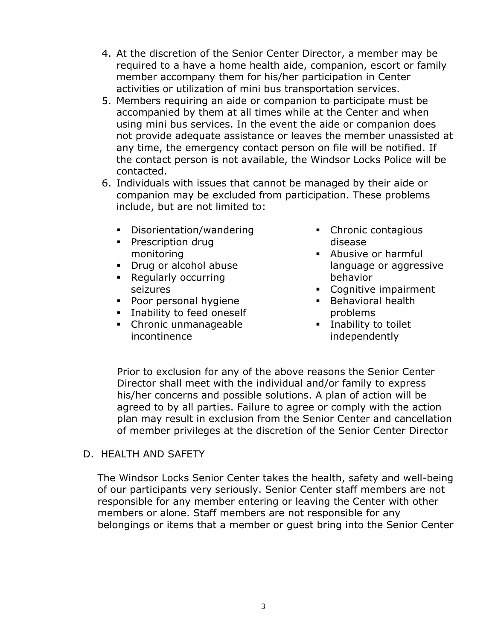- 4. At the discretion of the Senior Center Director, a member may be required to a have a home health aide, companion, escort or family member accompany them for his/her participation in Center activities or utilization of mini bus transportation services.
- 5. Members requiring an aide or companion to participate must be accompanied by them at all times while at the Center and when using mini bus services. In the event the aide or companion does not provide adequate assistance or leaves the member unassisted at any time, the emergency contact person on file will be notified. If the contact person is not available, the Windsor Locks Police will be contacted.
- 6. Individuals with issues that cannot be managed by their aide or companion may be excluded from participation. These problems include, but are not limited to:
	- Disorientation/wandering
	- **Prescription drug** monitoring
	- **Drug or alcohol abuse**
	- Regularly occurring seizures
	- Poor personal hygiene
	- **Inability to feed oneself**
	- Chronic unmanageable incontinence
- Chronic contagious disease
- **Abusive or harmful** language or aggressive behavior
- Cognitive impairment
- **Behavioral health** problems
- **Inability to toilet** independently

 Prior to exclusion for any of the above reasons the Senior Center Director shall meet with the individual and/or family to express his/her concerns and possible solutions. A plan of action will be agreed to by all parties. Failure to agree or comply with the action plan may result in exclusion from the Senior Center and cancellation of member privileges at the discretion of the Senior Center Director

D. HEALTH AND SAFETY

The Windsor Locks Senior Center takes the health, safety and well-being of our participants very seriously. Senior Center staff members are not responsible for any member entering or leaving the Center with other members or alone. Staff members are not responsible for any belongings or items that a member or guest bring into the Senior Center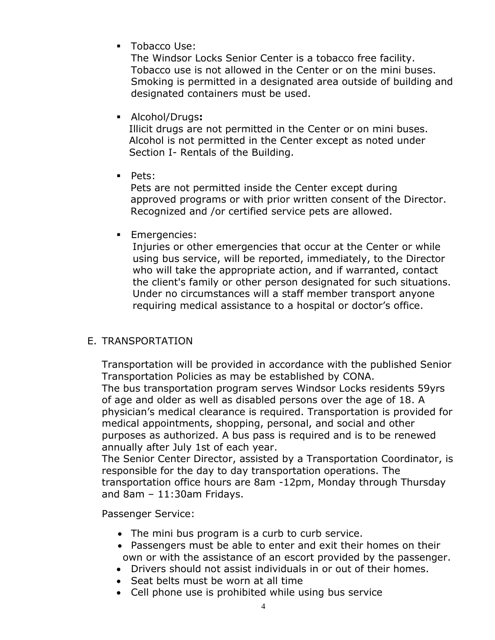**Tobacco Use:** 

The Windsor Locks Senior Center is a tobacco free facility. Tobacco use is not allowed in the Center or on the mini buses. Smoking is permitted in a designated area outside of building and designated containers must be used.

Alcohol/Drugs**:**

 Illicit drugs are not permitted in the Center or on mini buses. Alcohol is not permitted in the Center except as noted under Section I- Rentals of the Building.

**Pets:** 

 Pets are not permitted inside the Center except during approved programs or with prior written consent of the Director. Recognized and /or certified service pets are allowed.

**Emergencies:** 

 Injuries or other emergencies that occur at the Center or while using bus service, will be reported, immediately, to the Director who will take the appropriate action, and if warranted, contact the client's family or other person designated for such situations. Under no circumstances will a staff member transport anyone requiring medical assistance to a hospital or doctor's office.

#### E. TRANSPORTATION

Transportation will be provided in accordance with the published Senior Transportation Policies as may be established by CONA. The bus transportation program serves Windsor Locks residents 59yrs of age and older as well as disabled persons over the age of 18. A physician's medical clearance is required. Transportation is provided for medical appointments, shopping, personal, and social and other purposes as authorized. A bus pass is required and is to be renewed annually after July 1st of each year.

The Senior Center Director, assisted by a Transportation Coordinator, is responsible for the day to day transportation operations. The transportation office hours are 8am -12pm, Monday through Thursday and 8am – 11:30am Fridays.

Passenger Service:

- The mini bus program is a curb to curb service.
- Passengers must be able to enter and exit their homes on their own or with the assistance of an escort provided by the passenger.
- Drivers should not assist individuals in or out of their homes.
- Seat belts must be worn at all time
- Cell phone use is prohibited while using bus service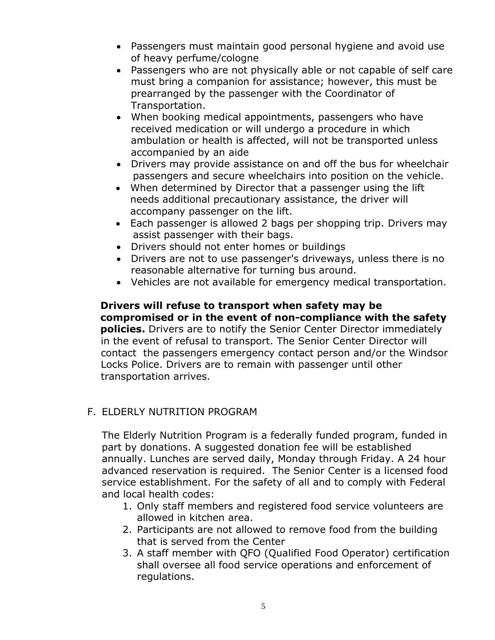- Passengers must maintain good personal hygiene and avoid use of heavy perfume/cologne
- Passengers who are not physically able or not capable of self care must bring a companion for assistance; however, this must be prearranged by the passenger with the Coordinator of Transportation.
- When booking medical appointments, passengers who have received medication or will undergo a procedure in which ambulation or health is affected, will not be transported unless accompanied by an aide
- Drivers may provide assistance on and off the bus for wheelchair passengers and secure wheelchairs into position on the vehicle.
- When determined by Director that a passenger using the lift needs additional precautionary assistance, the driver will accompany passenger on the lift.
- Each passenger is allowed 2 bags per shopping trip. Drivers may assist passenger with their bags.
- Drivers should not enter homes or buildings
- Drivers are not to use passenger's driveways, unless there is no reasonable alternative for turning bus around.
- Vehicles are not available for emergency medical transportation.

#### **Drivers will refuse to transport when safety may be compromised or in the event of non-compliance with the safety**

 **policies.** Drivers are to notify the Senior Center Director immediately in the event of refusal to transport. The Senior Center Director will contact the passengers emergency contact person and/or the Windsor Locks Police. Drivers are to remain with passenger until other transportation arrives.

### F. ELDERLY NUTRITION PROGRAM

The Elderly Nutrition Program is a federally funded program, funded in part by donations. A suggested donation fee will be established annually. Lunches are served daily, Monday through Friday. A 24 hour advanced reservation is required. The Senior Center is a licensed food service establishment. For the safety of all and to comply with Federal and local health codes:

- 1. Only staff members and registered food service volunteers are allowed in kitchen area.
- 2. Participants are not allowed to remove food from the building that is served from the Center
- 3. A staff member with QFO (Qualified Food Operator) certification shall oversee all food service operations and enforcement of regulations.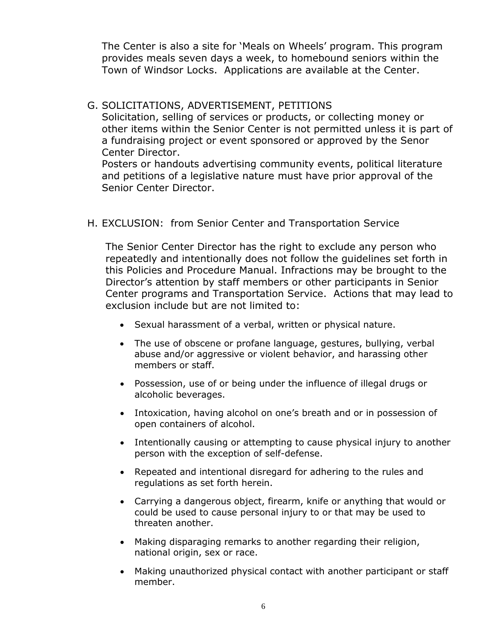The Center is also a site for 'Meals on Wheels' program. This program provides meals seven days a week, to homebound seniors within the Town of Windsor Locks. Applications are available at the Center.

### G. SOLICITATIONS, ADVERTISEMENT, PETITIONS

Solicitation, selling of services or products, or collecting money or other items within the Senior Center is not permitted unless it is part of a fundraising project or event sponsored or approved by the Senor Center Director.

Posters or handouts advertising community events, political literature and petitions of a legislative nature must have prior approval of the Senior Center Director.

H. EXCLUSION: from Senior Center and Transportation Service

The Senior Center Director has the right to exclude any person who repeatedly and intentionally does not follow the guidelines set forth in this Policies and Procedure Manual. Infractions may be brought to the Director's attention by staff members or other participants in Senior Center programs and Transportation Service. Actions that may lead to exclusion include but are not limited to:

- Sexual harassment of a verbal, written or physical nature.
- The use of obscene or profane language, gestures, bullying, verbal abuse and/or aggressive or violent behavior, and harassing other members or staff.
- Possession, use of or being under the influence of illegal drugs or alcoholic beverages.
- Intoxication, having alcohol on one's breath and or in possession of open containers of alcohol.
- Intentionally causing or attempting to cause physical injury to another person with the exception of self-defense.
- Repeated and intentional disregard for adhering to the rules and regulations as set forth herein.
- Carrying a dangerous object, firearm, knife or anything that would or could be used to cause personal injury to or that may be used to threaten another.
- Making disparaging remarks to another regarding their religion, national origin, sex or race.
- Making unauthorized physical contact with another participant or staff member.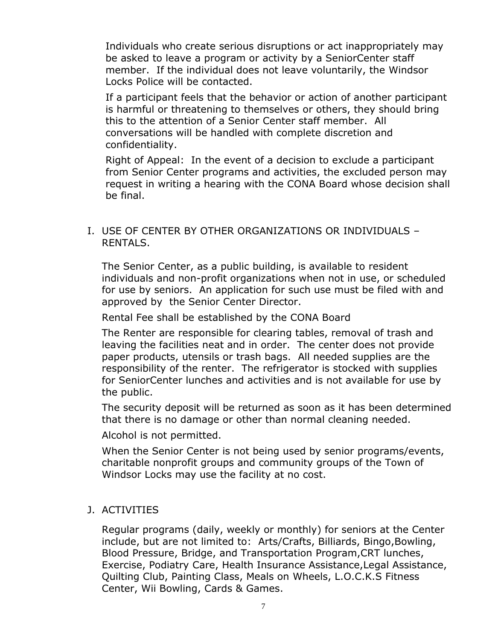Individuals who create serious disruptions or act inappropriately may be asked to leave a program or activity by a SeniorCenter staff member. If the individual does not leave voluntarily, the Windsor Locks Police will be contacted.

If a participant feels that the behavior or action of another participant is harmful or threatening to themselves or others, they should bring this to the attention of a Senior Center staff member. All conversations will be handled with complete discretion and confidentiality.

Right of Appeal: In the event of a decision to exclude a participant from Senior Center programs and activities, the excluded person may request in writing a hearing with the CONA Board whose decision shall be final.

#### I. USE OF CENTER BY OTHER ORGANIZATIONS OR INDIVIDUALS – RENTALS.

The Senior Center, as a public building, is available to resident individuals and non-profit organizations when not in use, or scheduled for use by seniors. An application for such use must be filed with and approved by the Senior Center Director.

Rental Fee shall be established by the CONA Board

The Renter are responsible for clearing tables, removal of trash and leaving the facilities neat and in order. The center does not provide paper products, utensils or trash bags. All needed supplies are the responsibility of the renter. The refrigerator is stocked with supplies for SeniorCenter lunches and activities and is not available for use by the public.

The security deposit will be returned as soon as it has been determined that there is no damage or other than normal cleaning needed.

Alcohol is not permitted.

When the Senior Center is not being used by senior programs/events, charitable nonprofit groups and community groups of the Town of Windsor Locks may use the facility at no cost.

#### J. ACTIVITIES

Regular programs (daily, weekly or monthly) for seniors at the Center include, but are not limited to: Arts/Crafts, Billiards, Bingo,Bowling, Blood Pressure, Bridge, and Transportation Program,CRT lunches, Exercise, Podiatry Care, Health Insurance Assistance,Legal Assistance, Quilting Club, Painting Class, Meals on Wheels, L.O.C.K.S Fitness Center, Wii Bowling, Cards & Games.